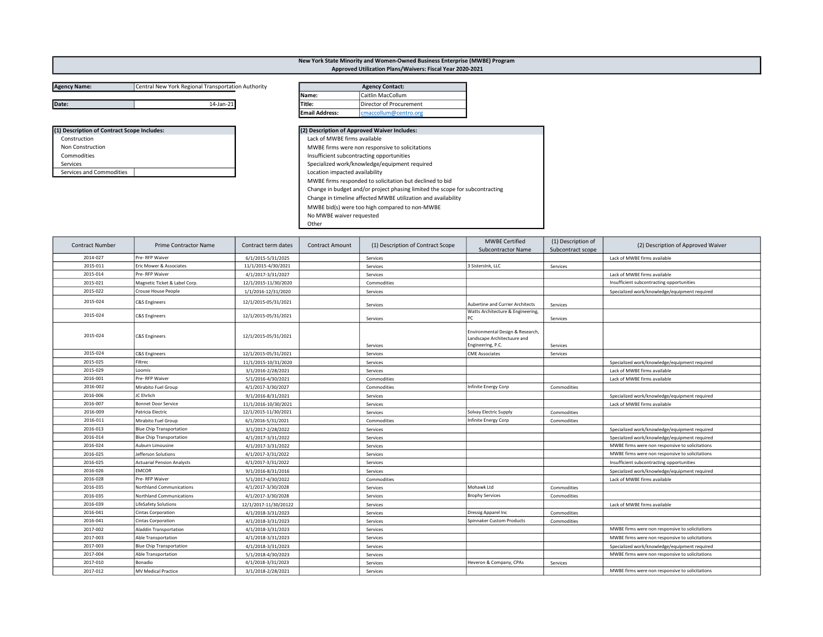## Agency Name: Central New York Regional Transportation Authority

| (1) Description of Contract Scope Includes: |
|---------------------------------------------|
| Construction                                |
| <b>Non Construction</b>                     |
| Commodities                                 |
| Services                                    |
| Services and Commodities                    |

| Date:                                       | 14-Jan-21 | Title:                         | Director of Procurement                                                      |  |
|---------------------------------------------|-----------|--------------------------------|------------------------------------------------------------------------------|--|
|                                             |           | <b>Email Address:</b>          | cmaccollum@centro.org                                                        |  |
| (1) Description of Contract Scope Includes: |           |                                | (2) Description of Approved Waiver Includes:                                 |  |
| Construction                                |           | Lack of MWBE firms available   |                                                                              |  |
| Non Construction                            |           |                                | MWBE firms were non responsive to solicitations                              |  |
| Commodities                                 |           |                                | Insufficient subcontracting opportunities                                    |  |
| Services                                    |           |                                | Specialized work/knowledge/equipment required                                |  |
| Services and Commodities                    |           | Location impacted availability |                                                                              |  |
|                                             |           |                                | MWBE firms responded to solicitation but declined to bid                     |  |
|                                             |           |                                | Change in budget and/or project phasing limited the scope for subcontracting |  |
|                                             |           |                                | Change in timeline affected MWBE utilization and availability                |  |
|                                             |           |                                | MWBE bid(s) were too high compared to non-MWBE                               |  |
|                                             |           | No MWBE waiver requested       |                                                                              |  |
|                                             |           |                                |                                                                              |  |

Other

| <b>Contract Number</b> | Prime Contractor Name             | Contract term dates   | <b>Contract Amount</b> | (1) Description of Contract Scope | <b>MWBE Certified</b><br><b>Subcontractor Name</b>                                   | (1) Description of<br>Subcontract scope | (2) Description of Approved Waiver              |
|------------------------|-----------------------------------|-----------------------|------------------------|-----------------------------------|--------------------------------------------------------------------------------------|-----------------------------------------|-------------------------------------------------|
| 2014-027               | Pre-RFP Waiver                    | 6/1/2015-5/31/2025    |                        | Services                          |                                                                                      |                                         | Lack of MWBE firms available                    |
| 2015-011               | Eric Mower & Associates           | 11/1/2015-4/30/2021   |                        | Services                          | 3 SistersInk, LLC                                                                    | Services                                |                                                 |
| 2015-014               | Pre- RFP Waiver                   | 4/1/2017-3/31/2027    |                        | Services                          |                                                                                      |                                         | Lack of MWBE firms available                    |
| 2015-021               | Magnetic Ticket & Label Corp.     | 12/1/2015-11/30/2020  |                        | Commodities                       |                                                                                      |                                         | Insufficient subcontracting opportunities       |
| 2015-022               | Crouse House People               | 1/1/2016-12/31/2020   |                        | Services                          |                                                                                      |                                         | Specialized work/knowledge/equipment required   |
| 2015-024               | <b>C&amp;S Engineers</b>          | 12/1/2015-05/31/2021  |                        | Services                          | Aubertine and Currier Architects                                                     | Services                                |                                                 |
| 2015-024               | <b>C&amp;S Engineers</b>          | 12/1/2015-05/31/2021  |                        | Services                          | Watts Architecture & Engineering,<br>l PC.                                           | Services                                |                                                 |
| 2015-024               | <b>C&amp;S Engineers</b>          | 12/1/2015-05/31/2021  |                        | Services                          | Environmental Design & Research,<br>Landscape Architectuure and<br>Engineering, P.C. | Services                                |                                                 |
| 2015-024               | <b>C&amp;S Engineers</b>          | 12/1/2015-05/31/2021  |                        | Services                          | <b>CME Associates</b>                                                                | Services                                |                                                 |
| 2015-025               | Filtrec                           | 11/1/2015-10/31/2020  |                        | Services                          |                                                                                      |                                         | Specialized work/knowledge/equipment required   |
| 2015-029               | Loomis                            | 3/1/2016-2/28/2021    |                        | Services                          |                                                                                      |                                         | Lack of MWBE firms available                    |
| 2016-001               | Pre-RFP Waiver                    | 5/1/2016-4/30/2021    |                        | Commodities                       |                                                                                      |                                         | Lack of MWBE firms available                    |
| 2016-002               | Mirabito Fuel Group               | 4/1/2017-3/30/2027    |                        | Commodities                       | Infinite Energy Corp                                                                 | Commodities                             |                                                 |
| 2016-006               | JC Ehrlich                        | 9/1/2016-8/31/2021    |                        | Services                          |                                                                                      |                                         | Specialized work/knowledge/equipment required   |
| 2016-007               | <b>Bonnet Door Service</b>        | 11/1/2016-10/30/2021  |                        | Services                          |                                                                                      |                                         | Lack of MWBE firms available                    |
| 2016-009               | Patricia Electric                 | 12/1/2015-11/30/2021  |                        | Services                          | Solvay Electric Supply                                                               | Commodities                             |                                                 |
| 2016-011               | Mirabito Fuel Group               | 6/1/2016-5/31/2021    |                        | Commodities                       | Infinite Energy Corp                                                                 | Commodities                             |                                                 |
| 2016-013               | <b>Blue Chip Transportation</b>   | 3/1/2017-2/28/2022    |                        | Services                          |                                                                                      |                                         | Specialized work/knowledge/equipment required   |
| 2016-014               | <b>Blue Chip Transportation</b>   | 4/1/2017-3/31/2022    |                        | Services                          |                                                                                      |                                         | Specialized work/knowledge/equipment required   |
| 2016-024               | Auburn Limousine                  | 4/1/2017-3/31/2022    |                        | Services                          |                                                                                      |                                         | MWBE firms were non responsive to solicitations |
| 2016-025               | Jefferson Solutions               | 4/1/2017-3/31/2022    |                        | Services                          |                                                                                      |                                         | MWBE firms were non responsive to solicitations |
| 2016-025               | <b>Actuarial Pension Analysts</b> | 4/1/2017-3/31/2022    |                        | Services                          |                                                                                      |                                         | Insufficient subcontracting opportunities       |
| 2016-026               | <b>EMCOR</b>                      | 9/1/2016-8/31/2016    |                        | Services                          |                                                                                      |                                         | Specialized work/knowledge/equipment required   |
| 2016-028               | Pre-RFP Waiver                    | 5/1/2017-4/30/2022    |                        | Commodities                       |                                                                                      |                                         | Lack of MWBE firms available                    |
| 2016-035               | Northland Communications          | 4/1/2017-3/30/2028    |                        | Services                          | Mohawk Ltd                                                                           | Commodities                             |                                                 |
| 2016-035               | Northland Communications          | 4/1/2017-3/30/2028    |                        | Services                          | <b>Brophy Services</b>                                                               | Commodities                             |                                                 |
| 2016-039               | <b>LifeSafety Solutions</b>       | 12/1/2017-11/30/20122 |                        | Services                          |                                                                                      |                                         | Lack of MWBE firms available                    |
| 2016-041               | <b>Cintas Corporation</b>         | 4/1/2018-3/31/2023    |                        | Services                          | Dressig Apparel Inc                                                                  | Commodities                             |                                                 |
| 2016-041               | <b>Cintas Corporation</b>         | 4/1/2018-3/31/2023    |                        | Services                          | Spinnaker Custom Products                                                            | Commodities                             |                                                 |
| 2017-002               | <b>Aladdin Transportation</b>     | 4/1/2018-3/31/2023    |                        | Services                          |                                                                                      |                                         | MWBE firms were non responsive to solicitations |
| 2017-003               | Able Transportation               | 4/1/2018-3/31/2023    |                        | Services                          |                                                                                      |                                         | MWBE firms were non responsive to solicitations |
| 2017-003               | <b>Blue Chip Transportation</b>   | 4/1/2018-3/31/2023    |                        | Services                          |                                                                                      |                                         | Specialized work/knowledge/equipment required   |
| 2017-004               | Able Transportation               | 5/1/2018-4/30/2023    |                        | Services                          |                                                                                      |                                         | MWBE firms were non responsive to solicitations |
| 2017-010               | Bonadio                           | 4/1/2018-3/31/2023    |                        | Services                          | Heveron & Company, CPAs                                                              | Services                                |                                                 |
| 2017-012               | <b>MV Medical Practice</b>        | 3/1/2018-2/28/2021    |                        | Services                          |                                                                                      |                                         | MWBE firms were non responsive to solicitations |

## New York State Minority and Women-Owned Business Enterprise (MWBE) Program Approved Utilization Plans/Waivers: Fiscal Year 2020-2021

Agency Contact:

Name: Caitlin MacCollum